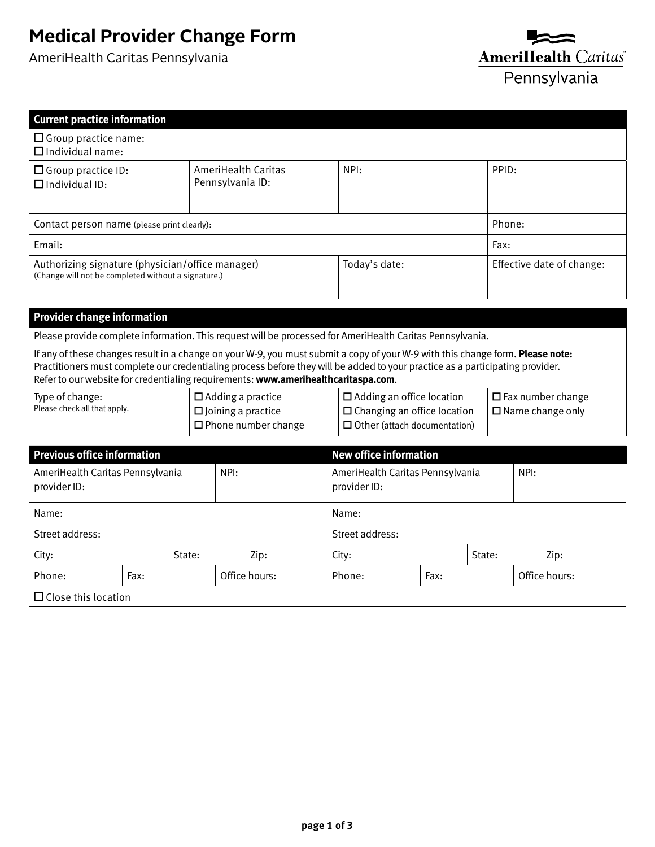## **Medical Provider Change Form**

AmeriHealth Caritas Pennsylvania

□ Close this location



| <b>Current practice information</b>                                                                                                                                                                                                                                                                                                                                                                                                                                |      |                                                                                        |                                                 |                                                                                                               |                 |                                                  |       |                                                     |               |      |      |
|--------------------------------------------------------------------------------------------------------------------------------------------------------------------------------------------------------------------------------------------------------------------------------------------------------------------------------------------------------------------------------------------------------------------------------------------------------------------|------|----------------------------------------------------------------------------------------|-------------------------------------------------|---------------------------------------------------------------------------------------------------------------|-----------------|--------------------------------------------------|-------|-----------------------------------------------------|---------------|------|------|
| $\Box$ Group practice name:<br>$\Box$ Individual name:                                                                                                                                                                                                                                                                                                                                                                                                             |      |                                                                                        |                                                 |                                                                                                               |                 |                                                  |       |                                                     |               |      |      |
| $\Box$ Group practice ID:<br>$\Box$ Individual ID:                                                                                                                                                                                                                                                                                                                                                                                                                 |      |                                                                                        | NPI:<br>AmeriHealth Caritas<br>Pennsylvania ID: |                                                                                                               |                 |                                                  | PPID: |                                                     |               |      |      |
| Contact person name (please print clearly):                                                                                                                                                                                                                                                                                                                                                                                                                        |      |                                                                                        |                                                 |                                                                                                               |                 |                                                  |       |                                                     | Phone:        |      |      |
| Email:                                                                                                                                                                                                                                                                                                                                                                                                                                                             |      |                                                                                        |                                                 |                                                                                                               |                 |                                                  |       |                                                     | Fax:          |      |      |
| Authorizing signature (physician/office manager)<br>(Change will not be completed without a signature.)                                                                                                                                                                                                                                                                                                                                                            |      |                                                                                        |                                                 |                                                                                                               | Today's date:   |                                                  |       | Effective date of change:                           |               |      |      |
| <b>Provider change information</b>                                                                                                                                                                                                                                                                                                                                                                                                                                 |      |                                                                                        |                                                 |                                                                                                               |                 |                                                  |       |                                                     |               |      |      |
|                                                                                                                                                                                                                                                                                                                                                                                                                                                                    |      |                                                                                        |                                                 |                                                                                                               |                 |                                                  |       |                                                     |               |      |      |
| Please provide complete information. This request will be processed for AmeriHealth Caritas Pennsylvania.<br>If any of these changes result in a change on your W-9, you must submit a copy of your W-9 with this change form. Please note:<br>Practitioners must complete our credentialing process before they will be added to your practice as a participating provider.<br>Refer to our website for credentialing requirements: www.amerihealthcaritaspa.com. |      |                                                                                        |                                                 |                                                                                                               |                 |                                                  |       |                                                     |               |      |      |
| Type of change:<br>Please check all that apply.                                                                                                                                                                                                                                                                                                                                                                                                                    |      | $\Box$ Adding a practice<br>$\square$ Joining a practice<br>$\Box$ Phone number change |                                                 | $\Box$ Adding an office location<br>$\Box$ Changing an office location<br>$\Box$ Other (attach documentation) |                 |                                                  |       | $\Box$ Fax number change<br>$\Box$ Name change only |               |      |      |
| <b>Previous office information</b>                                                                                                                                                                                                                                                                                                                                                                                                                                 |      |                                                                                        |                                                 |                                                                                                               |                 | <b>New office information</b>                    |       |                                                     |               |      |      |
| AmeriHealth Caritas Pennsylvania<br>provider ID:                                                                                                                                                                                                                                                                                                                                                                                                                   |      |                                                                                        | NPI:                                            |                                                                                                               |                 | AmeriHealth Caritas Pennsylvania<br>provider ID: |       |                                                     |               | NPI: |      |
| Name:                                                                                                                                                                                                                                                                                                                                                                                                                                                              |      |                                                                                        |                                                 |                                                                                                               | Name:           |                                                  |       |                                                     |               |      |      |
| Street address:                                                                                                                                                                                                                                                                                                                                                                                                                                                    |      |                                                                                        |                                                 |                                                                                                               | Street address: |                                                  |       |                                                     |               |      |      |
| State:<br>City:                                                                                                                                                                                                                                                                                                                                                                                                                                                    |      |                                                                                        |                                                 | Zip:                                                                                                          |                 | City:                                            |       | State:                                              |               |      | Zip: |
| Phone:                                                                                                                                                                                                                                                                                                                                                                                                                                                             | Fax: |                                                                                        | Office hours:                                   |                                                                                                               |                 | Phone:                                           | Fax:  |                                                     | Office hours: |      |      |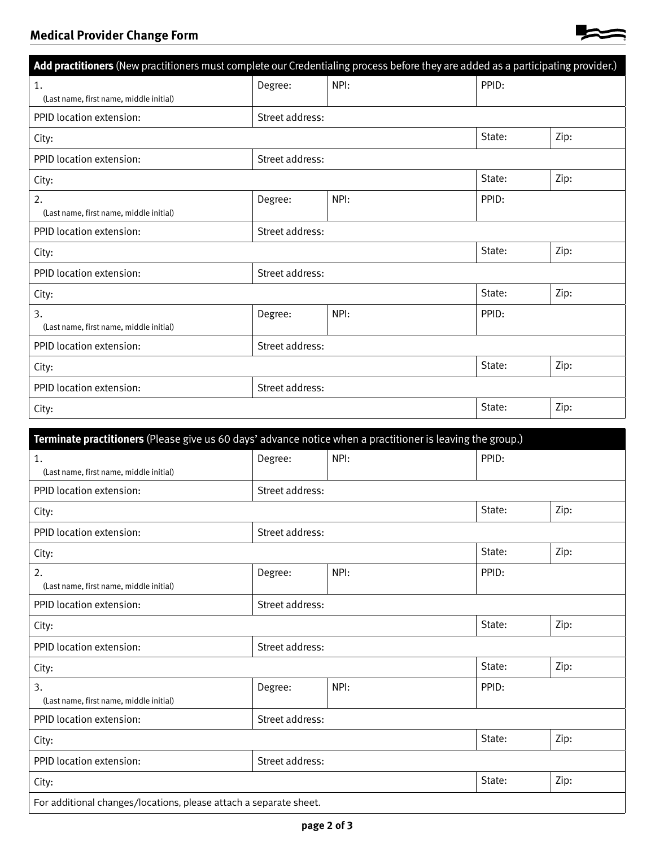## **Medical Provider Change Form**

| Add practitioners (New practitioners must complete our Credentialing process before they are added as a participating provider.) |                 |      |        |      |  |
|----------------------------------------------------------------------------------------------------------------------------------|-----------------|------|--------|------|--|
| 1.                                                                                                                               | Degree:         | NPI: | PPID:  |      |  |
| (Last name, first name, middle initial)                                                                                          |                 |      |        |      |  |
| PPID location extension:                                                                                                         | Street address: |      |        |      |  |
| City:                                                                                                                            |                 |      | State: | Zip: |  |
| PPID location extension:                                                                                                         | Street address: |      |        |      |  |
| City:                                                                                                                            |                 |      | State: | Zip: |  |
| 2.<br>(Last name, first name, middle initial)                                                                                    | Degree:         | NPI: | PPID:  |      |  |
| PPID location extension:                                                                                                         | Street address: |      |        |      |  |
| City:                                                                                                                            |                 |      | State: | Zip: |  |
| PPID location extension:                                                                                                         | Street address: |      |        |      |  |
| City:                                                                                                                            |                 |      | State: | Zip: |  |
| 3.<br>(Last name, first name, middle initial)                                                                                    | Degree:         | NPI: | PPID:  |      |  |
| PPID location extension:                                                                                                         | Street address: |      |        |      |  |
| City:                                                                                                                            |                 |      | State: | Zip: |  |
| PPID location extension:                                                                                                         | Street address: |      |        |      |  |
| City:                                                                                                                            |                 |      | State: | Zip: |  |
|                                                                                                                                  |                 |      |        |      |  |
| Terminate practitioners (Please give us 60 days' advance notice when a practitioner is leaving the group.)<br>1.                 | Degree:         | NPI: | PPID:  |      |  |
| (Last name, first name, middle initial)                                                                                          |                 |      |        |      |  |
| PPID location extension:                                                                                                         | Street address: |      |        |      |  |
| City:                                                                                                                            |                 |      | State: | Zip: |  |
| PPID location extension:<br>Street address:                                                                                      |                 |      |        |      |  |
| City:                                                                                                                            |                 |      | State: | Zip: |  |
| 2.                                                                                                                               | Degree:         | NPI: | PPID:  |      |  |
| (Last name, first name, middle initial)                                                                                          |                 |      |        |      |  |
| PPID location extension:                                                                                                         | Street address: |      |        |      |  |
| City:                                                                                                                            |                 |      | State: | Zip: |  |
| PPID location extension:                                                                                                         | Street address: |      |        |      |  |
| City:                                                                                                                            |                 |      | State: | Zip: |  |
| 3.<br>(Last name, first name, middle initial)                                                                                    | Degree:         | NPI: | PPID:  |      |  |
| PPID location extension:                                                                                                         | Street address: |      |        |      |  |
| City:                                                                                                                            |                 |      | State: | Zip: |  |
| PPID location extension:<br>Street address:                                                                                      |                 |      |        |      |  |
| State:<br>Zip:<br>City:                                                                                                          |                 |      |        |      |  |
| For additional changes/locations, please attach a separate sheet.                                                                |                 |      |        |      |  |